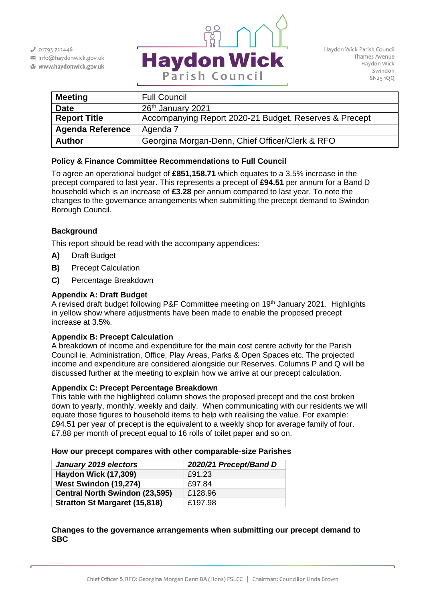$J$  01793 722446

info@haydonwick.gov.uk Www.haydonwick.gov.uk



| <b>Meeting</b>          | <b>Full Council</b>                                    |
|-------------------------|--------------------------------------------------------|
| <b>Date</b>             | 26 <sup>th</sup> January 2021                          |
| <b>Report Title</b>     | Accompanying Report 2020-21 Budget, Reserves & Precept |
| <b>Agenda Reference</b> | Agenda 7                                               |
| <b>Author</b>           | Georgina Morgan-Denn, Chief Officer/Clerk & RFO        |

# **Policy & Finance Committee Recommendations to Full Council**

To agree an operational budget of **£851,158.71** which equates to a 3.5% increase in the precept compared to last year. This represents a precept of **£94.51** per annum for a Band D household which is an increase of **£3.28** per annum compared to last year. To note the changes to the governance arrangements when submitting the precept demand to Swindon Borough Council.

# **Background**

This report should be read with the accompany appendices:

- **A)** Draft Budget
- **B)** Precept Calculation
- **C)** Percentage Breakdown

## **Appendix A: Draft Budget**

A revised draft budget following P&F Committee meeting on 19<sup>th</sup> January 2021. Highlights in yellow show where adjustments have been made to enable the proposed precept increase at 3.5%.

### **Appendix B: Precept Calculation**

A breakdown of income and expenditure for the main cost centre activity for the Parish Council ie. Administration, Office, Play Areas, Parks & Open Spaces etc. The projected income and expenditure are considered alongside our Reserves. Columns P and Q will be discussed further at the meeting to explain how we arrive at our precept calculation.

### **Appendix C: Precept Percentage Breakdown**

This table with the highlighted column shows the proposed precept and the cost broken down to yearly, monthly, weekly and daily. When communicating with our residents we will equate those figures to household items to help with realising the value. For example: £94.51 per year of precept is the equivalent to a weekly shop for average family of four. £7.88 per month of precept equal to 16 rolls of toilet paper and so on.

### **How our precept compares with other comparable-size Parishes**

| January 2019 electors                 | 2020/21 Precept/Band D |
|---------------------------------------|------------------------|
| <b>Haydon Wick (17,309)</b>           | £91.23                 |
| West Swindon (19,274)                 | £97.84                 |
| <b>Central North Swindon (23,595)</b> | £128.96                |
| <b>Stratton St Margaret (15,818)</b>  | £197.98                |

### **Changes to the governance arrangements when submitting our precept demand to SBC**